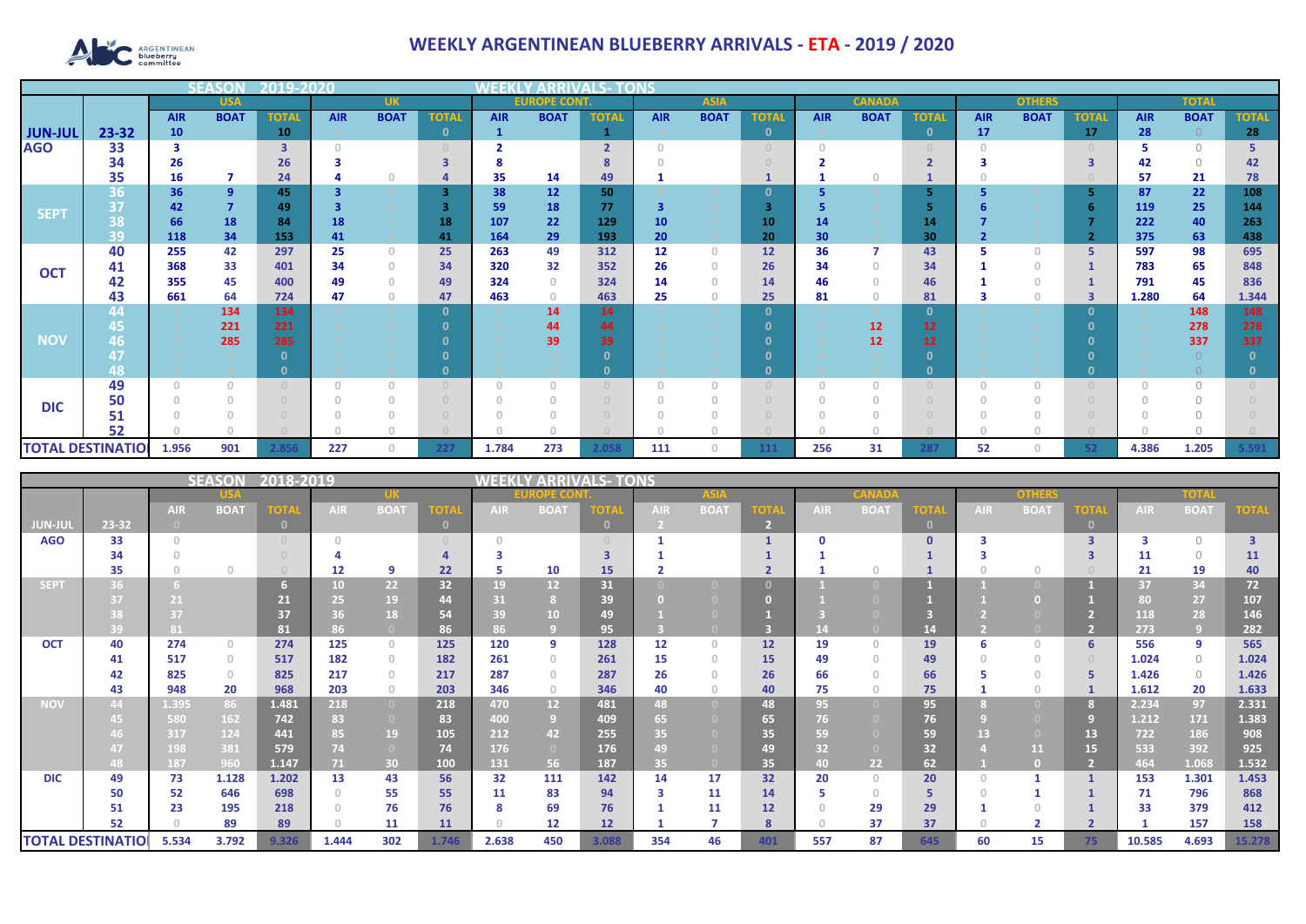

## **WEEKLY ARGENTINEAN BLUEBERRY ARRIVALS - ETA - 2019 / 2020**

|                          |       |            |                | 12019-20     |            |                                       |              |              |                     |                          |                 |             |              |            |               |                 |            |               |              |            |              |              |
|--------------------------|-------|------------|----------------|--------------|------------|---------------------------------------|--------------|--------------|---------------------|--------------------------|-----------------|-------------|--------------|------------|---------------|-----------------|------------|---------------|--------------|------------|--------------|--------------|
|                          |       |            | <b>USA</b>     |              |            | <b>UK</b>                             |              |              | <b>EUROPE CONT.</b> |                          |                 | <b>ASIA</b> |              |            | <b>CANADA</b> |                 |            | <b>OTHERS</b> |              |            | <b>TOTAI</b> |              |
|                          |       | <b>AIR</b> | <b>BOAT</b>    | <b>TOTAL</b> | <b>AIR</b> | <b>BOAT</b>                           | <b>TOTA</b>  | <b>AIR</b>   | <b>BOAT</b>         | <b>TOTAL</b>             | <b>AIR</b>      | <b>BOAT</b> | <b>TOTAL</b> | <b>AIR</b> | <b>BOAT</b>   | <b>TOTAL</b>    | <b>AIR</b> | <b>BOAT</b>   | <b>TOTAL</b> | <b>AIR</b> | <b>BOAT</b>  | <b>TOTAL</b> |
| <b>JUN-JUL</b>           | 23-32 | 10         |                | 10           |            |                                       | $\mathbf{0}$ | $\mathbf{1}$ |                     |                          |                 |             | $\mathbf{0}$ |            |               | $\mathbf{0}$    | 17         |               | 17           | 28         | $\Omega$     | 28           |
| <b>AGO</b>               | 33    | 3          |                | 3            |            |                                       |              |              |                     | $\overline{\phantom{a}}$ |                 |             | $\cup$       |            |               |                 |            |               |              |            | $\bigcap$    |              |
|                          | 34    | 26         |                | 26           |            |                                       |              |              |                     |                          |                 |             |              |            |               | $\overline{2}$  |            |               |              | 42         | $\bigcap$    | 42           |
|                          | 35    | 16         | 7              | 24           |            |                                       |              | 35           | 14                  | 49                       |                 |             |              |            |               |                 |            |               |              | 57         | 21           | 78           |
| <b>SEPT</b>              | 36    | 36         | $\overline{9}$ | 45           |            |                                       | 3            | 38           | 12                  | 50                       |                 |             | 0            |            |               | 5               |            |               |              | 87         | 22           | 108          |
|                          | 37    | 42         | $\overline{7}$ | 49           |            |                                       |              | 59           | 18                  | 77                       | 3               |             | З            |            |               |                 |            |               |              | 119        | 25           | 144          |
|                          | 38    | 66         | 18             | 84           | 18         |                                       | 18           | 107          | 22                  | 129                      | 10 <sub>1</sub> |             | 10           | 14         |               | 14              |            |               |              | 222        | 40           | 263          |
|                          | 39    | 118        | 34             | 153          | 41         |                                       | 41           | 164          | 29                  | 193                      | 20              |             | 20           | 30         |               | 30              |            |               |              | 375        | 63           | 438          |
| <b>OCT</b>               | 40    | 255        | 42             | 297          | 25         | $\mathbf{0}$                          | 25           | 263          | 49                  | 312                      | 12              | $\Omega$    | 12           | 36         |               | 43              |            | O             | -5           | 597        | 98           | 695          |
|                          | 41    | 368        | 33             | 401          | 34         | $\begin{array}{c} 0 \\ 0 \end{array}$ | 34           | 320          | 32                  | 352                      | 26              | n           | 26           | 34         |               | 34              |            |               |              | 783        | 65           | 848          |
|                          | 42    | 355        | 45             | 400          | 49         | $\Omega$                              | 49           | 324          | $\circ$             | 324                      | 14              |             | 14           | 46         |               | 46              |            |               |              | 791        | 45           | 836          |
|                          | 43    | 661        | 64             | 724          | 47         | $\begin{array}{c} 0 \\ 0 \end{array}$ | 47           | 463          | $\circ$             | 463                      | 25              |             | 25           | 81         |               | 81              |            | $\mathbf{0}$  | 3            | 1.280      | 64           | 1.344        |
|                          | 44    |            | 134            | 134          |            |                                       | $\mathbf{0}$ |              | 14                  | 14                       |                 |             | $\mathbf 0$  |            |               | $\mathbf{0}$    |            |               | $\Omega$     |            | 148          | 148          |
|                          | 45    |            | 221            | 221          |            |                                       |              |              | 44                  | 44                       |                 |             |              |            | 12            | 12 <sub>2</sub> |            |               | - 0          |            | 278          | 278          |
| <b>NOV</b>               | 46    |            | 285            | 285          |            |                                       |              |              | 39                  | 39                       |                 |             |              |            | 12            | 12 <sup>2</sup> |            |               |              |            | 337          | 337          |
|                          | 48    |            |                |              |            |                                       |              |              |                     | n.                       |                 |             |              |            |               | $\Omega$        |            |               |              |            |              |              |
|                          | 49    |            | $\Omega$       |              |            | $\Omega$                              |              | $\Omega$     |                     |                          | O               |             |              |            |               |                 |            |               |              |            | $\bigcap$    |              |
|                          | 50    |            |                |              |            |                                       |              |              |                     |                          |                 |             |              |            |               |                 |            |               |              |            |              |              |
| <b>DIC</b>               | 51    |            |                |              |            |                                       |              |              |                     |                          |                 |             |              |            |               |                 |            |               |              |            |              |              |
|                          | 52    |            |                |              |            |                                       |              |              |                     |                          |                 |             |              |            |               |                 |            |               |              |            |              |              |
| <b>TOTAL DESTINATIOI</b> |       | 1.956      | 901            | 2.856        | 227        | $\bigcap$                             | 227          | 1.784        | 273                 | 2.058                    | 111             | n.          | 111          | 256        | 31            | 287             | 52         | Ω             |              | 4.386      | 1.205        | 5.591        |

|                          |       | LS- TONS   |              |             |                 |                                       |          |            |                 |              |            |                   |                        |            |             |              |            |             |                         |            |             |                         |
|--------------------------|-------|------------|--------------|-------------|-----------------|---------------------------------------|----------|------------|-----------------|--------------|------------|-------------------|------------------------|------------|-------------|--------------|------------|-------------|-------------------------|------------|-------------|-------------------------|
|                          |       |            |              |             |                 |                                       |          | ECO        |                 |              |            |                   |                        |            |             |              |            |             |                         |            |             |                         |
|                          |       | <b>AIR</b> | <b>BOAT</b>  | <b>TOTA</b> | <b>AIR</b>      | <b>BOAT</b>                           | ОТ       | <b>AIR</b> | <b>BOAT</b>     | OTA          | <b>AIR</b> | <b>BOAT</b>       | $\overline{\text{or}}$ | <b>AIR</b> | <b>BOAT</b> | <b>OTA</b>   | <b>AIR</b> | <b>BOAT</b> | <b>TOTAL</b>            | <b>AIR</b> | <b>BOAT</b> | <b>TOTA</b>             |
| JUN-JUI                  | 23-32 |            |              |             |                 |                                       | $\Omega$ |            |                 | $\mathbf{0}$ |            |                   |                        |            |             | $\mathbf{0}$ |            |             |                         |            |             |                         |
| <b>AGO</b>               | 33    |            |              |             |                 |                                       |          | $\cap$     |                 |              |            |                   |                        |            |             | $\mathbf{0}$ |            |             | $\overline{\mathbf{3}}$ |            | $\Omega$    | $\overline{\mathbf{3}}$ |
|                          | 34    |            |              |             |                 |                                       |          |            |                 |              |            |                   |                        |            |             |              |            |             |                         | 11         | $\Omega$    | 11                      |
|                          | 35    |            | $\Omega$     |             | 12              | q                                     | 22       | 5          | 10              | 15           |            |                   |                        |            |             |              |            | $\cap$      |                         | 21         | 19          | 40                      |
| <b>SEPT</b>              | 36.   |            |              |             | 10 <sub>1</sub> | 22 <sub>2</sub>                       | 32       | 19         | 12              | 31           |            |                   |                        |            |             |              |            |             |                         | 37         | 34          | 72                      |
|                          |       | 21         |              | 21          | 25              | 19                                    | 44       | 31         |                 | 39           |            |                   |                        |            |             |              |            |             |                         | 80         | 27          | 107                     |
|                          |       | 37         |              | 37          | 36              | 18                                    | 54       | 39         | 10              | 49           |            |                   |                        |            |             |              |            |             |                         | 118        | 28          | 146                     |
|                          | 39    | 81         |              | 81          | 86              |                                       | 86       | 86         |                 | 95           |            |                   |                        |            |             | 14           |            |             |                         | 273        | 797         | 282                     |
| <b>OCT</b>               | 40    | 274        | $\circ$      | 274         | 125             | $\circ$                               | 125      | 120        | 9               | 128          | 12         | $\Omega$          | 12                     | 19         | $\cap$      | 19           | 6          | $\Omega$    |                         | 556        | 9           | 565                     |
|                          | 41    | 517        | $\circ$      | 517         | 182             | $\circ$                               | 182      | 261        | $\Omega$        | 261          | 15         |                   | 15                     | 49         |             | 49           |            | $\Omega$    |                         | 1.024      | $\circ$     | 1.024                   |
|                          | 42    | 825        | $\mathbf{0}$ | 825         | 217             | $\begin{array}{c} 0 \\ 0 \end{array}$ | 217      | 287        | $\Omega$        | 287          | 26         |                   | 26                     | 66         |             | 66           |            |             |                         | 1.426      | $\circ$     | 1.426                   |
|                          | 43    | 948        | 20           | 968         | 203             | $\circ$                               | 203      | 346        | $\circ$         | 346          | 40         |                   | 40                     | 75         |             | 75           |            | $\Omega$    |                         | 1.612      | 20          | 1.633                   |
| <b>NOV</b>               | 44    | 1.395      | 86           | 1.481       | 218             | $\overline{0}$                        | 218      | 470        | 12 <sup>°</sup> | 481          | 48         | $\Box$            | 48                     | 95         |             | 95           |            |             |                         | 2.234      | 97          | 2.331                   |
|                          |       | 580        | 162          | 742         | 83              | $\bullet$                             | 83       | 400        | -9              | 409          | 65         |                   | 65                     | 76         |             | 76           |            |             |                         | 1.212      | 171         | 1.383                   |
|                          |       | 317        | 124          | 441         | 85              | 19                                    | 105      | 212        | 42              | 255          | 35         |                   | 35                     | 59         |             | 59           | 13         |             | 13                      | 722        | 186         | 908                     |
|                          |       | 198        | 381          | 579         | 74              | $\overline{0}$                        | 74       | 176        | $\overline{0}$  | 176          | 49         |                   | 49                     | 32         |             | 32           |            | 11          | 15                      | 533        | 392         | 925                     |
|                          | 48.   | 187        | 960          | 1.147       | 71.             | 30                                    | 100      | 131        | 56              | 187          | 35         | $\left( 0\right)$ | 35                     | 40.        | 22          | 62           |            |             |                         | 464        | 1.068       | 1.532                   |
| <b>DIC</b>               | 49    | 73         | 1.128        | 1.202       | 13              | 43                                    | 56       | 32         | 111             | 142          | 14         | 17                | 32                     | 20         | $\Omega$    | 20           |            |             |                         | 153        | 1.301       | 1.453                   |
|                          | 50    | 52         | 646          | 698         |                 | 55                                    | 55       | 11         | 83              | 94           | 3          | 11                | 14                     |            | 0           | 5            |            |             |                         | 71         | 796         | 868                     |
|                          | 51    | 23         | 195          | 218         |                 | 76                                    | 76       | 8          | 69              | 76           |            | 11                | 12                     |            | 29          | 29           |            |             |                         | 33         | 379         | 412                     |
|                          | 52    |            | 89           | 89          |                 | 11                                    | 11       | $\cap$     | 12              | 12           |            |                   | 8                      |            | 37          | 37           |            |             |                         |            | 157         | 158                     |
| <b>TOTAL DESTINATIOI</b> |       | 5.534      | 3.792        | 9.326       | 1.444           | 302                                   | 1.746    | 2.638      | 450             | 3.088        | 354        | 46                | 401                    | 557        | 87          | 645          | 60         | 15          | 75                      | 10.585     | 4.693       | 15.278                  |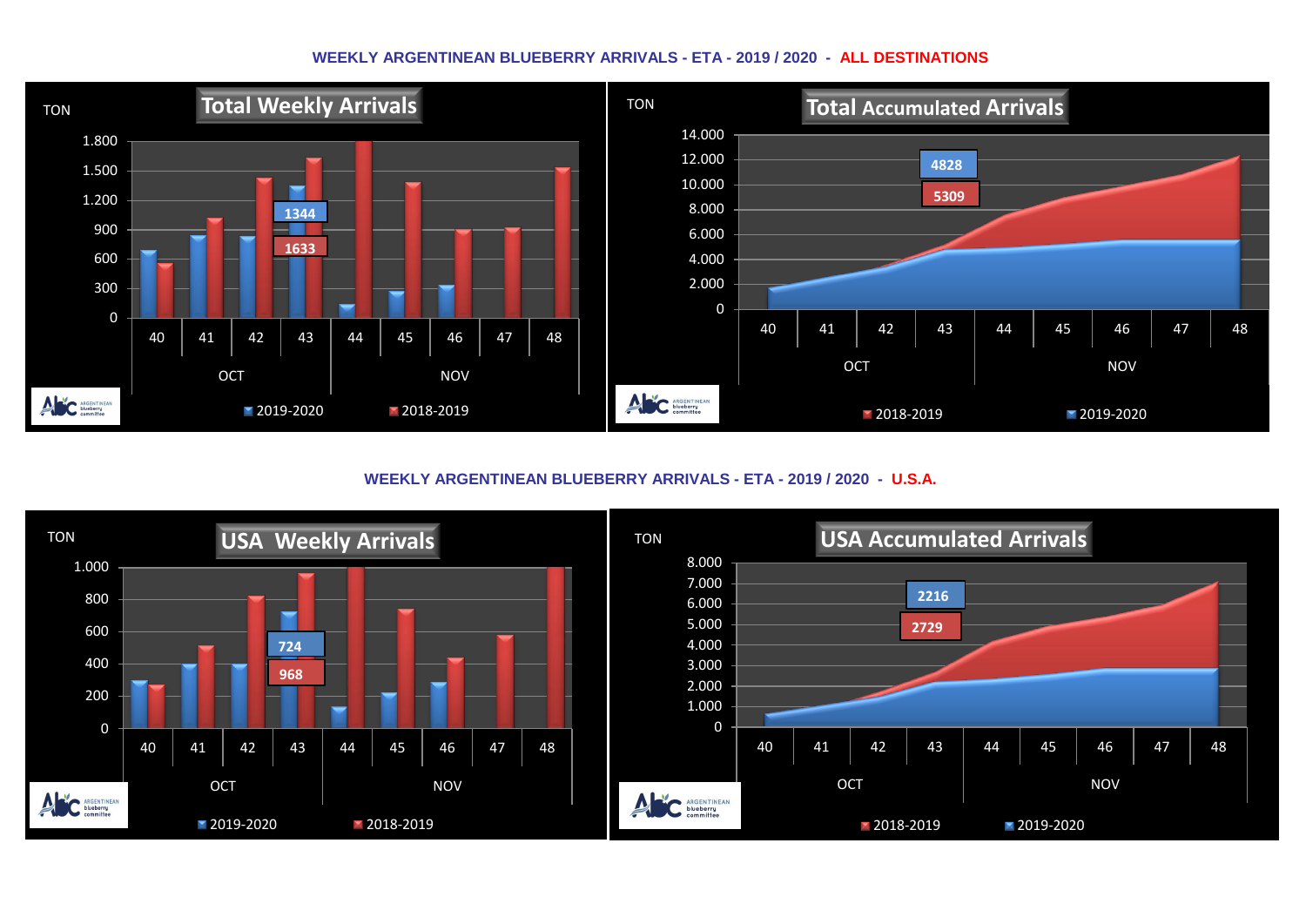## **WEEKLY ARGENTINEAN BLUEBERRY ARRIVALS - ETA - 2019 / 2020 - ALL DESTINATIONS**



**WEEKLY ARGENTINEAN BLUEBERRY ARRIVALS - ETA - 2019 / 2020 - U.S.A.**

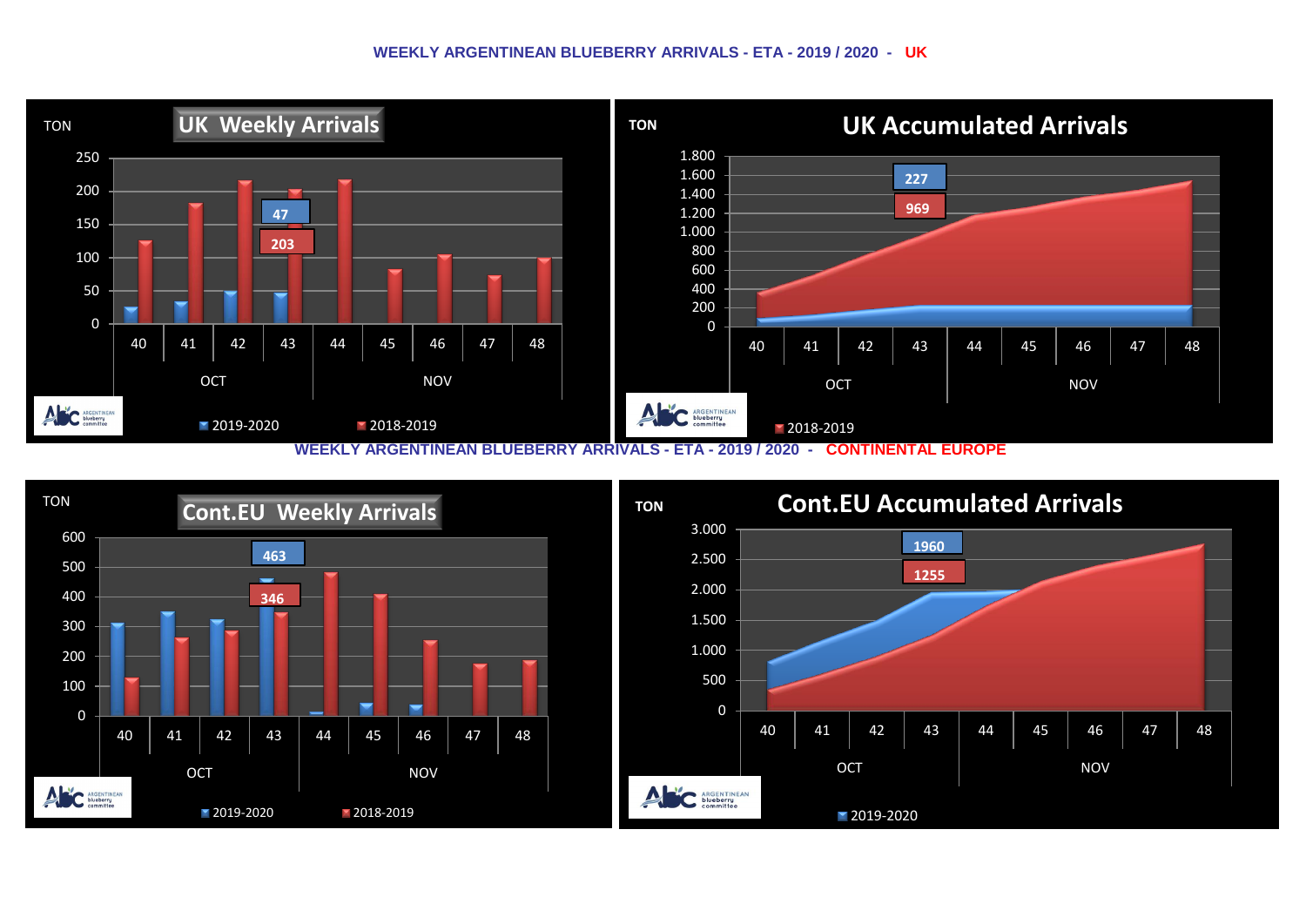## **WEEKLY ARGENTINEAN BLUEBERRY ARRIVALS - ETA - 2019 / 2020 - UK**



**WEEKLY ARGENTINEAN BLUEBERRY ARRIVALS - ETA - 2019 / 2020 - CONTINENTAL EUROPE**